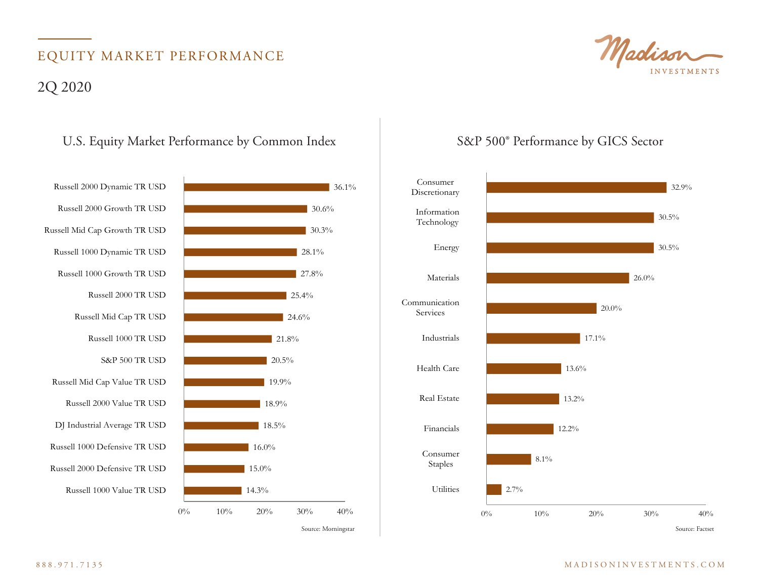# EQUITY MARKET PERFORMANCE 2Q 2020

### U.S. Equity Market Performance by Common Index S&P 500° Performance by GICS Sector



36.1%



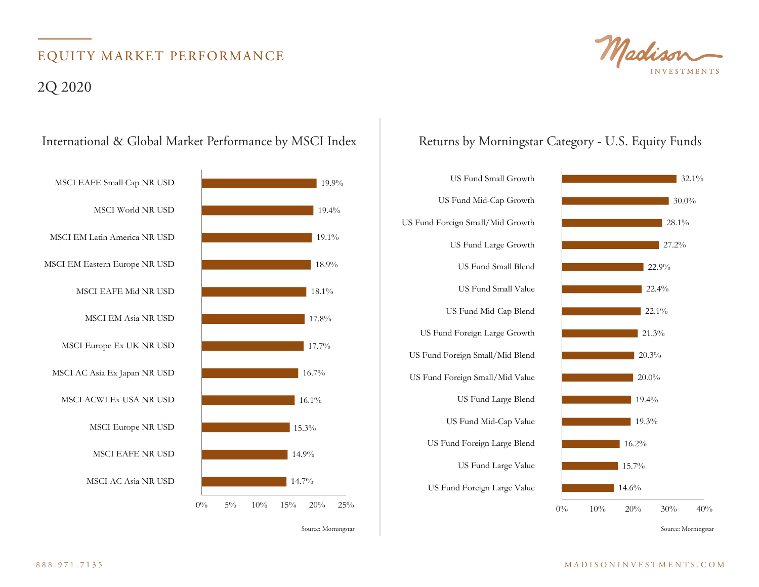# EQUITY MARKET PERFORMANCE

### 2Q 2020





22.4%

22.9%

 $27.2\%$ 

28.1%

 $30.0\%$ 

 $32.1%$ 

## International & Global Market Performance by MSCI Index Returns by Morningstar Category - U.S. Equity Funds<br>

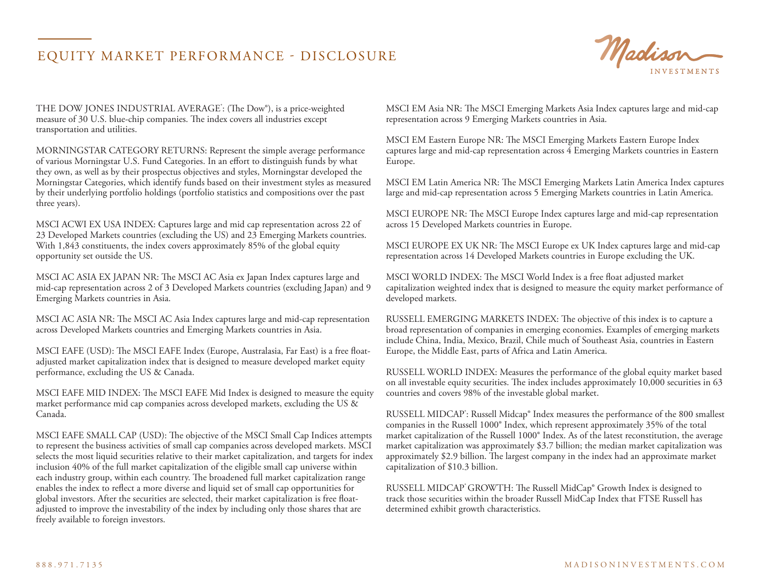### EQUITY MARKET PERFORMANCE - DISCLOSURE



THE DOW JONES INDUSTRIAL AVERAGE<sup>\*</sup>: (The Dow®), is a price-weighted measure of 30 U.S. blue-chip companies. The index covers all industries except transportation and utilities.

MORNINGSTAR CATEGORY RETURNS: Represent the simple average performance of various Morningstar U.S. Fund Categories. In an effort to distinguish funds by what they own, as well as by their prospectus objectives and styles, Morningstar developed the Morningstar Categories, which identify funds based on their investment styles as measured by their underlying portfolio holdings (portfolio statistics and compositions over the past three years).

MSCI ACWI EX USA INDEX: Captures large and mid cap representation across 22 of 23 Developed Markets countries (excluding the US) and 23 Emerging Markets countries. With 1,843 constituents, the index covers approximately 85% of the global equity opportunity set outside the US.

MSCI AC ASIA EX JAPAN NR: The MSCI AC Asia ex Japan Index captures large and mid-cap representation across 2 of 3 Developed Markets countries (excluding Japan) and 9 Emerging Markets countries in Asia.

MSCI AC ASIA NR: The MSCI AC Asia Index captures large and mid-cap representation across Developed Markets countries and Emerging Markets countries in Asia.

MSCI EAFE (USD): The MSCI EAFE Index (Europe, Australasia, Far East) is a free floatadjusted market capitalization index that is designed to measure developed market equity performance, excluding the US & Canada.

MSCI EAFE MID INDEX: The MSCI EAFE Mid Index is designed to measure the equity market performance mid cap companies across developed markets, excluding the US  $\&$ Canada.

MSCI EAFE SMALL CAP (USD): The objective of the MSCI Small Cap Indices attempts to represent the business activities of small cap companies across developed markets. MSCI selects the most liquid securities relative to their market capitalization, and targets for index inclusion 40% of the full market capitalization of the eligible small cap universe within each industry group, within each country. The broadened full market capitalization range enables the index to reflect a more diverse and liquid set of small cap opportunities for global investors. After the securities are selected, their market capitalization is free floatadjusted to improve the investability of the index by including only those shares that are freely available to foreign investors.

MSCI EM Asia NR: The MSCI Emerging Markets Asia Index captures large and mid-cap representation across 9 Emerging Markets countries in Asia.

MSCI EM Eastern Europe NR: The MSCI Emerging Markets Eastern Europe Index captures large and mid-cap representation across 4 Emerging Markets countries in Eastern Europe.

MSCI EM Latin America NR: The MSCI Emerging Markets Latin America Index captures large and mid-cap representation across 5 Emerging Markets countries in Latin America.

MSCI EUROPE NR: The MSCI Europe Index captures large and mid-cap representation across 15 Developed Markets countries in Europe.

MSCI EUROPE EX UK NR: The MSCI Europe ex UK Index captures large and mid-cap representation across 14 Developed Markets countries in Europe excluding the UK.

MSCI WORLD INDEX: The MSCI World Index is a free float adjusted market capitalization weighted index that is designed to measure the equity market performance of developed markets.

RUSSELL EMERGING MARKETS INDEX: The objective of this index is to capture a broad representation of companies in emerging economies. Examples of emerging markets include China, India, Mexico, Brazil, Chile much of Southeast Asia, countries in Eastern Europe, the Middle East, parts of Africa and Latin America.

RUSSELL WORLD INDEX: Measures the performance of the global equity market based on all investable equity securities. The index includes approximately 10,000 securities in 63 countries and covers 98% of the investable global market.

RUSSELL MIDCAP<sup>\*</sup>: Russell Midcap® Index measures the performance of the 800 smallest companies in the Russell 1000® Index, which represent approximately 35% of the total market capitalization of the Russell 1000® Index. As of the latest reconstitution, the average market capitalization was approximately \$3.7 billion; the median market capitalization was approximately \$2.9 billion. The largest company in the index had an approximate market capitalization of \$10.3 billion.

RUSSELL MIDCAP<sup>®</sup> GROWTH: The Russell MidCap® Growth Index is designed to track those securities within the broader Russell MidCap Index that FTSE Russell has determined exhibit growth characteristics.